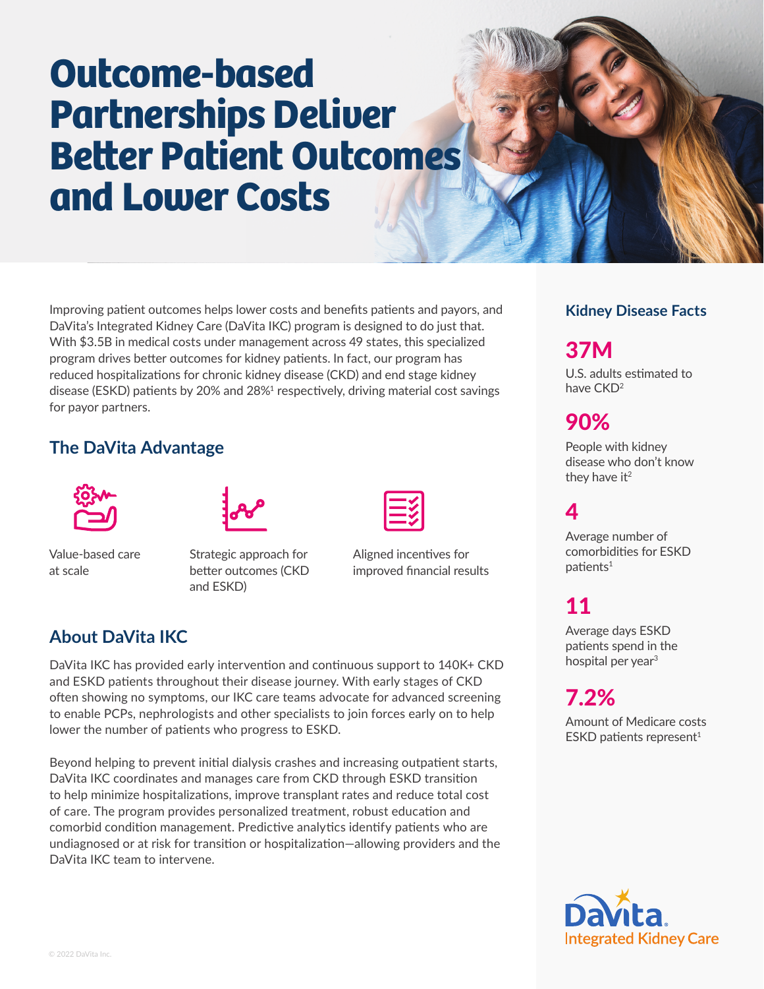# **Outcome-based Partnerships Deliver Better Patient Outcomes and Lower Costs**

Improving patient outcomes helps lower costs and benefits patients and payors, and DaVita's Integrated Kidney Care (DaVita IKC) program is designed to do just that. With \$3.5B in medical costs under management across 49 states, this specialized program drives better outcomes for kidney patients. In fact, our program has reduced hospitalizations for chronic kidney disease (CKD) and end stage kidney disease (ESKD) patients by 20% and 28%<sup>1</sup> respectively, driving material cost savings for payor partners.

#### **The DaVita Advantage**



Value-based care at scale



Strategic approach for better outcomes (CKD and ESKD)



Aligned incentives for improved financial results

#### **About DaVita IKC**

DaVita IKC has provided early intervention and continuous support to 140K+ CKD and ESKD patients throughout their disease journey. With early stages of CKD often showing no symptoms, our IKC care teams advocate for advanced screening to enable PCPs, nephrologists and other specialists to join forces early on to help lower the number of patients who progress to ESKD.

Beyond helping to prevent initial dialysis crashes and increasing outpatient starts, DaVita IKC coordinates and manages care from CKD through ESKD transition to help minimize hospitalizations, improve transplant rates and reduce total cost of care. The program provides personalized treatment, robust education and comorbid condition management. Predictive analytics identify patients who are undiagnosed or at risk for transition or hospitalization—allowing providers and the DaVita IKC team to intervene.

#### **Kidney Disease Facts**

## 37M

U.S. adults estimated to have CKD2

## 90%

People with kidney disease who don't know they have  $it<sup>2</sup>$ 

## 4

Average number of comorbidities for ESKD  $p$ atients<sup>1</sup>

## 11

Average days ESKD patients spend in the hospital per year<sup>3</sup>

# 7.2%

Amount of Medicare costs ESKD patients represent $1$